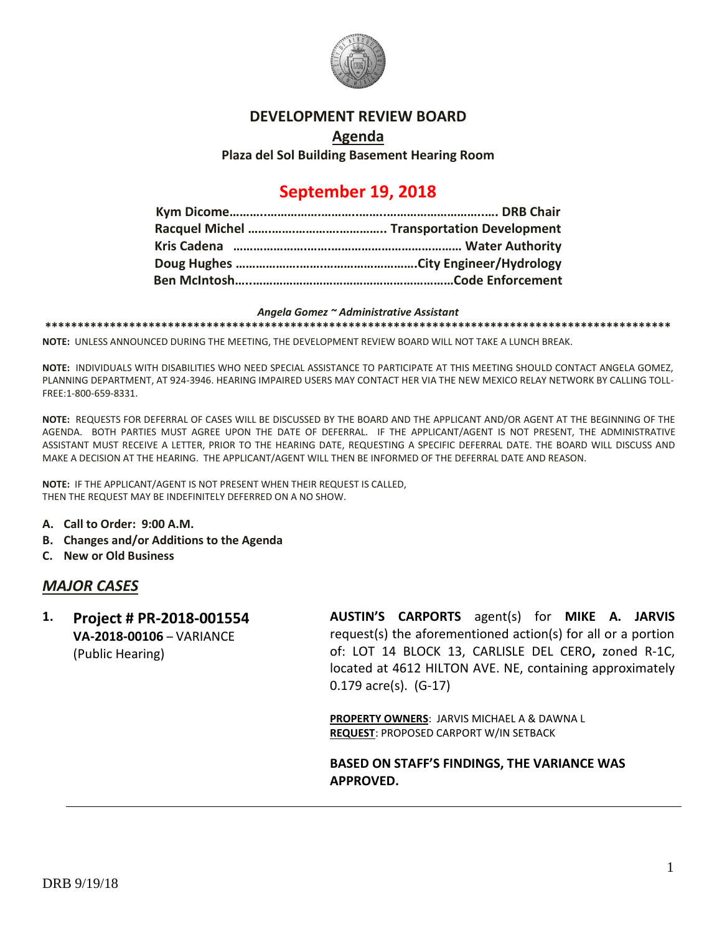

### **DEVELOPMENT REVIEW BOARD**

#### **Agenda**

**Plaza del Sol Building Basement Hearing Room**

# **September 19, 2018**

#### *Angela Gomez ~ Administrative Assistant*

**\*\*\*\*\*\*\*\*\*\*\*\*\*\*\*\*\*\*\*\*\*\*\*\*\*\*\*\*\*\*\*\*\*\*\*\*\*\*\*\*\*\*\*\*\*\*\*\*\*\*\*\*\*\*\*\*\*\*\*\*\*\*\*\*\*\*\*\*\*\*\*\*\*\*\*\*\*\*\*\*\*\*\*\*\*\*\*\*\*\*\*\*\*\*\*\*\***

**NOTE:** UNLESS ANNOUNCED DURING THE MEETING, THE DEVELOPMENT REVIEW BOARD WILL NOT TAKE A LUNCH BREAK.

**NOTE:** INDIVIDUALS WITH DISABILITIES WHO NEED SPECIAL ASSISTANCE TO PARTICIPATE AT THIS MEETING SHOULD CONTACT ANGELA GOMEZ, PLANNING DEPARTMENT, AT 924-3946. HEARING IMPAIRED USERS MAY CONTACT HER VIA THE NEW MEXICO RELAY NETWORK BY CALLING TOLL-FREE:1-800-659-8331.

**NOTE:** REQUESTS FOR DEFERRAL OF CASES WILL BE DISCUSSED BY THE BOARD AND THE APPLICANT AND/OR AGENT AT THE BEGINNING OF THE AGENDA. BOTH PARTIES MUST AGREE UPON THE DATE OF DEFERRAL. IF THE APPLICANT/AGENT IS NOT PRESENT, THE ADMINISTRATIVE ASSISTANT MUST RECEIVE A LETTER, PRIOR TO THE HEARING DATE, REQUESTING A SPECIFIC DEFERRAL DATE. THE BOARD WILL DISCUSS AND MAKE A DECISION AT THE HEARING. THE APPLICANT/AGENT WILL THEN BE INFORMED OF THE DEFERRAL DATE AND REASON.

**NOTE:** IF THE APPLICANT/AGENT IS NOT PRESENT WHEN THEIR REQUEST IS CALLED, THEN THE REQUEST MAY BE INDEFINITELY DEFERRED ON A NO SHOW.

- **A. Call to Order: 9:00 A.M.**
- **B. Changes and/or Additions to the Agenda**
- **C. New or Old Business**

#### *MAJOR CASES*

**1. Project # PR-2018-001554 VA-2018-00106** – VARIANCE (Public Hearing)

**AUSTIN'S CARPORTS** agent(s) for **MIKE A. JARVIS** request(s) the aforementioned action(s) for all or a portion of: LOT 14 BLOCK 13, CARLISLE DEL CERO**,** zoned R-1C, located at 4612 HILTON AVE. NE, containing approximately 0.179 acre(s). (G-17)

**PROPERTY OWNERS**: JARVIS MICHAEL A & DAWNA L **REQUEST**: PROPOSED CARPORT W/IN SETBACK

**BASED ON STAFF'S FINDINGS, THE VARIANCE WAS APPROVED.**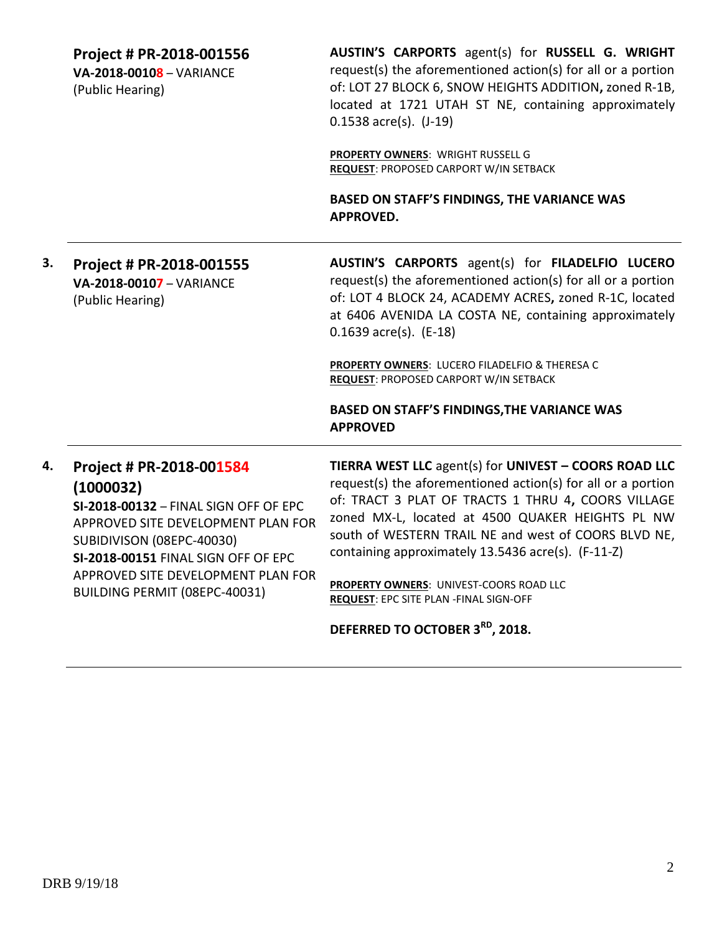**Project # PR-2018-001556**

**VA-2018-00108** – VARIANCE (Public Hearing)

**AUSTIN'S CARPORTS** agent(s) for **RUSSELL G. WRIGHT** request(s) the aforementioned action(s) for all or a portion of: LOT 27 BLOCK 6, SNOW HEIGHTS ADDITION**,** zoned R-1B, located at 1721 UTAH ST NE, containing approximately 0.1538 acre(s). (J-19)

**PROPERTY OWNERS**: WRIGHT RUSSELL G **REQUEST**: PROPOSED CARPORT W/IN SETBACK

**BASED ON STAFF'S FINDINGS, THE VARIANCE WAS APPROVED.**

**3. Project # PR-2018-001555 VA-2018-00107** – VARIANCE (Public Hearing) **AUSTIN'S CARPORTS** agent(s) for **FILADELFIO LUCERO** request(s) the aforementioned action(s) for all or a portion of: LOT 4 BLOCK 24, ACADEMY ACRES**,** zoned R-1C, located at 6406 AVENIDA LA COSTA NE, containing approximately 0.1639 acre(s). (E-18)

> **PROPERTY OWNERS**: LUCERO FILADELFIO & THERESA C **REQUEST**: PROPOSED CARPORT W/IN SETBACK

**BASED ON STAFF'S FINDINGS,THE VARIANCE WAS APPROVED**

## **4. Project # PR-2018-001584 (1000032)**

**SI-2018-00132** – FINAL SIGN OFF OF EPC APPROVED SITE DEVELOPMENT PLAN FOR SUBIDIVISON (08EPC-40030) **SI-2018-00151** FINAL SIGN OFF OF EPC APPROVED SITE DEVELOPMENT PLAN FOR BUILDING PERMIT (08EPC-40031)

**TIERRA WEST LLC** agent(s) for **UNIVEST – COORS ROAD LLC** request(s) the aforementioned action(s) for all or a portion of: TRACT 3 PLAT OF TRACTS 1 THRU 4**,** COORS VILLAGE zoned MX-L, located at 4500 QUAKER HEIGHTS PL NW south of WESTERN TRAIL NE and west of COORS BLVD NE, containing approximately 13.5436 acre(s). (F-11-Z)

**PROPERTY OWNERS**: UNIVEST-COORS ROAD LLC **REQUEST**: EPC SITE PLAN -FINAL SIGN-OFF

**DEFERRED TO OCTOBER 3RD, 2018.**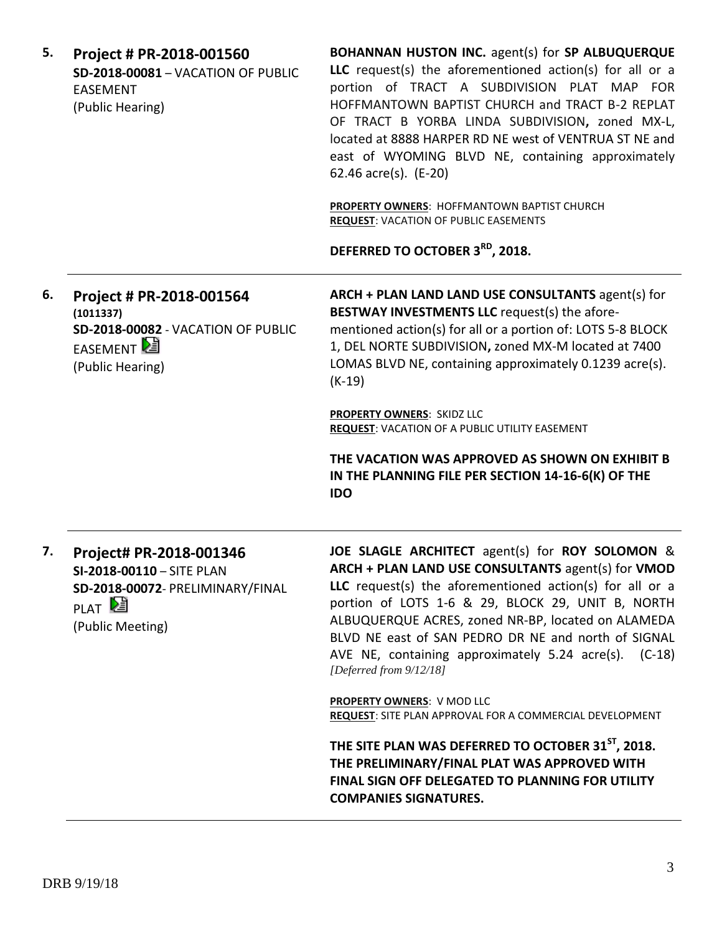| 5. | Project # PR-2018-001560<br><b>SD-2018-00081 - VACATION OF PUBLIC</b><br><b>EASEMENT</b><br>(Public Hearing)                      | BOHANNAN HUSTON INC. agent(s) for SP ALBUQUERQUE<br>LLC request(s) the aforementioned action(s) for all or a<br>portion of TRACT A SUBDIVISION PLAT MAP FOR<br>HOFFMANTOWN BAPTIST CHURCH and TRACT B-2 REPLAT<br>OF TRACT B YORBA LINDA SUBDIVISION, zoned MX-L,<br>located at 8888 HARPER RD NE west of VENTRUA ST NE and<br>east of WYOMING BLVD NE, containing approximately<br>62.46 acre(s). (E-20)<br>PROPERTY OWNERS: HOFFMANTOWN BAPTIST CHURCH<br><b>REQUEST: VACATION OF PUBLIC EASEMENTS</b><br>DEFERRED TO OCTOBER 3 <sup>RD</sup> , 2018.                                                                                                                                                                               |
|----|-----------------------------------------------------------------------------------------------------------------------------------|---------------------------------------------------------------------------------------------------------------------------------------------------------------------------------------------------------------------------------------------------------------------------------------------------------------------------------------------------------------------------------------------------------------------------------------------------------------------------------------------------------------------------------------------------------------------------------------------------------------------------------------------------------------------------------------------------------------------------------------|
| 6. | Project # PR-2018-001564<br>(1011337)<br>SD-2018-00082 - VACATION OF PUBLIC<br>EASEMENT<br>(Public Hearing)                       | ARCH + PLAN LAND LAND USE CONSULTANTS agent(s) for<br>BESTWAY INVESTMENTS LLC request(s) the afore-<br>mentioned action(s) for all or a portion of: LOTS 5-8 BLOCK<br>1, DEL NORTE SUBDIVISION, zoned MX-M located at 7400<br>LOMAS BLVD NE, containing approximately 0.1239 acre(s).<br>$(K-19)$<br><b>PROPERTY OWNERS: SKIDZ LLC</b><br><b>REQUEST: VACATION OF A PUBLIC UTILITY EASEMENT</b><br>THE VACATION WAS APPROVED AS SHOWN ON EXHIBIT B<br>IN THE PLANNING FILE PER SECTION 14-16-6(K) OF THE                                                                                                                                                                                                                              |
| 7. | Project# PR-2018-001346<br>SI-2018-00110 - SITE PLAN<br>SD-2018-00072- PRELIMINARY/FINAL<br>PLAT <sup>D</sup><br>(Public Meeting) | <b>IDO</b><br>JOE SLAGLE ARCHITECT agent(s) for ROY SOLOMON &<br>ARCH + PLAN LAND USE CONSULTANTS agent(s) for VMOD<br>LLC request(s) the aforementioned action(s) for all or a<br>portion of LOTS 1-6 & 29, BLOCK 29, UNIT B, NORTH<br>ALBUQUERQUE ACRES, zoned NR-BP, located on ALAMEDA<br>BLVD NE east of SAN PEDRO DR NE and north of SIGNAL<br>AVE NE, containing approximately 5.24 acre(s). (C-18)<br>[Deferred from 9/12/18]<br>PROPERTY OWNERS: V MOD LLC<br>REQUEST: SITE PLAN APPROVAL FOR A COMMERCIAL DEVELOPMENT<br>THE SITE PLAN WAS DEFERRED TO OCTOBER 31 <sup>ST</sup> , 2018.<br>THE PRELIMINARY/FINAL PLAT WAS APPROVED WITH<br>FINAL SIGN OFF DELEGATED TO PLANNING FOR UTILITY<br><b>COMPANIES SIGNATURES.</b> |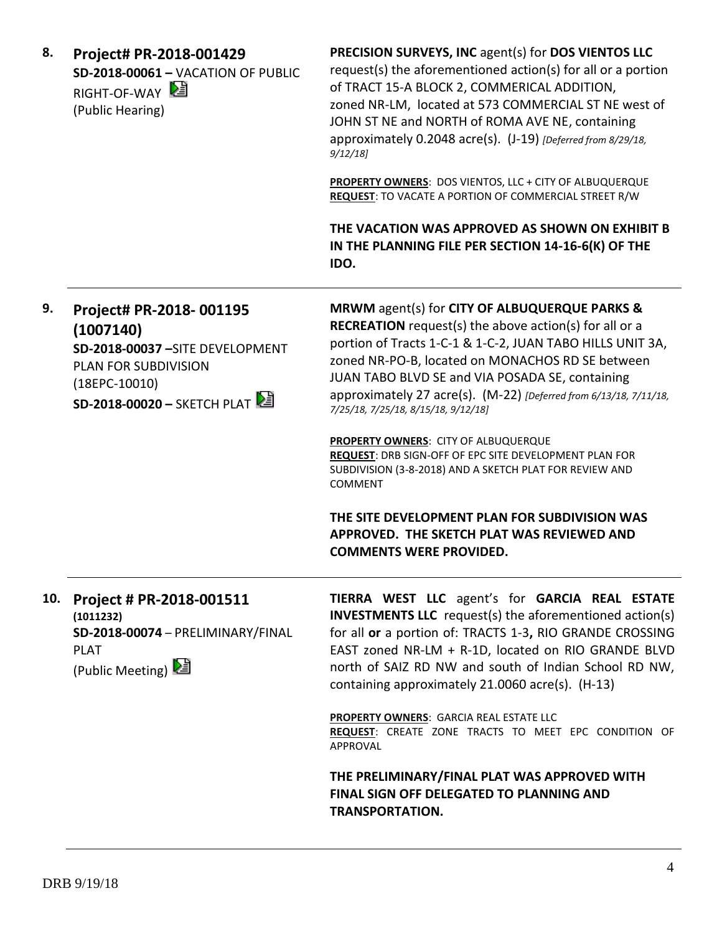| 8.  | Project# PR-2018-001429<br><b>SD-2018-00061 - VACATION OF PUBLIC</b><br>RIGHT-OF-WAY<br>(Public Hearing)                                           | PRECISION SURVEYS, INC agent(s) for DOS VIENTOS LLC<br>request(s) the aforementioned action(s) for all or a portion<br>of TRACT 15-A BLOCK 2, COMMERICAL ADDITION,<br>zoned NR-LM, located at 573 COMMERCIAL ST NE west of<br>JOHN ST NE and NORTH of ROMA AVE NE, containing<br>approximately 0.2048 acre(s). (J-19) [Deferred from 8/29/18,<br>9/12/18                                                                                                                                                                                                                                                                                                                                                                |
|-----|----------------------------------------------------------------------------------------------------------------------------------------------------|-------------------------------------------------------------------------------------------------------------------------------------------------------------------------------------------------------------------------------------------------------------------------------------------------------------------------------------------------------------------------------------------------------------------------------------------------------------------------------------------------------------------------------------------------------------------------------------------------------------------------------------------------------------------------------------------------------------------------|
|     |                                                                                                                                                    | PROPERTY OWNERS: DOS VIENTOS, LLC + CITY OF ALBUQUERQUE<br><b>REQUEST: TO VACATE A PORTION OF COMMERCIAL STREET R/W</b>                                                                                                                                                                                                                                                                                                                                                                                                                                                                                                                                                                                                 |
|     |                                                                                                                                                    | THE VACATION WAS APPROVED AS SHOWN ON EXHIBIT B<br>IN THE PLANNING FILE PER SECTION 14-16-6(K) OF THE<br>IDO.                                                                                                                                                                                                                                                                                                                                                                                                                                                                                                                                                                                                           |
| 9.  | Project# PR-2018-001195<br>(1007140)<br>SD-2018-00037 - SITE DEVELOPMENT<br>PLAN FOR SUBDIVISION<br>$(18EPC-10010)$<br>SD-2018-00020 - SKETCH PLAT | MRWM agent(s) for CITY OF ALBUQUERQUE PARKS &<br><b>RECREATION</b> request(s) the above $action(s)$ for all or a<br>portion of Tracts 1-C-1 & 1-C-2, JUAN TABO HILLS UNIT 3A,<br>zoned NR-PO-B, located on MONACHOS RD SE between<br>JUAN TABO BLVD SE and VIA POSADA SE, containing<br>approximately 27 acre(s). (M-22) [Deferred from 6/13/18, 7/11/18,<br>7/25/18, 7/25/18, 8/15/18, 9/12/18]<br><b>PROPERTY OWNERS: CITY OF ALBUQUERQUE</b><br>REQUEST: DRB SIGN-OFF OF EPC SITE DEVELOPMENT PLAN FOR<br>SUBDIVISION (3-8-2018) AND A SKETCH PLAT FOR REVIEW AND<br><b>COMMENT</b><br>THE SITE DEVELOPMENT PLAN FOR SUBDIVISION WAS<br>APPROVED. THE SKETCH PLAT WAS REVIEWED AND<br><b>COMMENTS WERE PROVIDED.</b> |
| 10. | Project # PR-2018-001511<br>(1011232)<br>SD-2018-00074 - PRELIMINARY/FINAL<br><b>PLAT</b><br>(Public Meeting)                                      | TIERRA WEST LLC agent's for GARCIA REAL ESTATE<br><b>INVESTMENTS LLC</b> request(s) the aforementioned action(s)<br>for all or a portion of: TRACTS 1-3, RIO GRANDE CROSSING<br>EAST zoned NR-LM + R-1D, located on RIO GRANDE BLVD<br>north of SAIZ RD NW and south of Indian School RD NW,<br>containing approximately 21.0060 acre(s). (H-13)                                                                                                                                                                                                                                                                                                                                                                        |
|     |                                                                                                                                                    | <b>PROPERTY OWNERS: GARCIA REAL ESTATE LLC</b><br>REQUEST: CREATE ZONE TRACTS TO MEET EPC CONDITION OF<br>APPROVAL                                                                                                                                                                                                                                                                                                                                                                                                                                                                                                                                                                                                      |
|     |                                                                                                                                                    | THE PRELIMINARY/FINAL PLAT WAS APPROVED WITH<br>FINAL SIGN OFF DELEGATED TO PLANNING AND<br><b>TRANSPORTATION.</b>                                                                                                                                                                                                                                                                                                                                                                                                                                                                                                                                                                                                      |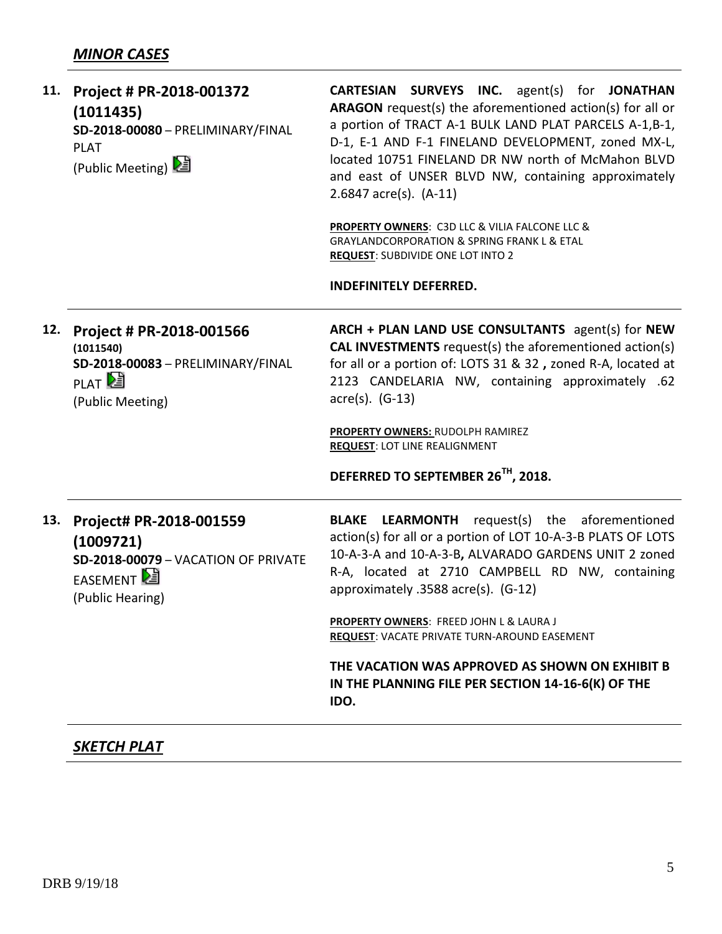| 11. | Project # PR-2018-001372<br>(1011435)<br>SD-2018-00080 - PRELIMINARY/FINAL<br><b>PLAT</b><br>(Public Meeting)       | CARTESIAN SURVEYS INC. agent(s) for JONATHAN<br>ARAGON request(s) the aforementioned action(s) for all or<br>a portion of TRACT A-1 BULK LAND PLAT PARCELS A-1,B-1,<br>D-1, E-1 AND F-1 FINELAND DEVELOPMENT, zoned MX-L,<br>located 10751 FINELAND DR NW north of McMahon BLVD<br>and east of UNSER BLVD NW, containing approximately<br>$2.6847$ acre(s). $(A-11)$<br><b>PROPERTY OWNERS: C3D LLC &amp; VILIA FALCONE LLC &amp;</b><br>GRAYLANDCORPORATION & SPRING FRANK L & ETAL<br><b>REQUEST: SUBDIVIDE ONE LOT INTO 2</b><br><b>INDEFINITELY DEFERRED.</b> |
|-----|---------------------------------------------------------------------------------------------------------------------|-------------------------------------------------------------------------------------------------------------------------------------------------------------------------------------------------------------------------------------------------------------------------------------------------------------------------------------------------------------------------------------------------------------------------------------------------------------------------------------------------------------------------------------------------------------------|
| 12. | Project # PR-2018-001566<br>(1011540)<br>SD-2018-00083 - PRELIMINARY/FINAL<br>PLAT <sup>2</sup><br>(Public Meeting) | ARCH + PLAN LAND USE CONSULTANTS agent(s) for NEW<br><b>CAL INVESTMENTS</b> request(s) the aforementioned action(s)<br>for all or a portion of: LOTS 31 & 32, zoned R-A, located at<br>2123 CANDELARIA NW, containing approximately .62<br>$\arccos 0$ . (G-13)<br>PROPERTY OWNERS: RUDOLPH RAMIREZ<br><b>REQUEST: LOT LINE REALIGNMENT</b><br>DEFERRED TO SEPTEMBER 26TH, 2018.                                                                                                                                                                                  |
| 13. | Project# PR-2018-001559<br>(1009721)<br>SD-2018-00079 - VACATION OF PRIVATE<br>EASEMENT<br>(Public Hearing)         | request(s) the aforementioned<br><b>BLAKE LEARMONTH</b><br>action(s) for all or a portion of LOT 10-A-3-B PLATS OF LOTS<br>10-A-3-A and 10-A-3-B, ALVARADO GARDENS UNIT 2 zoned<br>R-A, located at 2710 CAMPBELL RD NW, containing<br>approximately .3588 acre(s). (G-12)<br><b>PROPERTY OWNERS: FREED JOHN L &amp; LAURA J</b>                                                                                                                                                                                                                                   |
|     |                                                                                                                     | <b>REQUEST: VACATE PRIVATE TURN-AROUND EASEMENT</b><br>THE VACATION WAS APPROVED AS SHOWN ON EXHIBIT B<br>IN THE PLANNING FILE PER SECTION 14-16-6(K) OF THE<br>IDO.                                                                                                                                                                                                                                                                                                                                                                                              |

### *SKETCH PLAT*